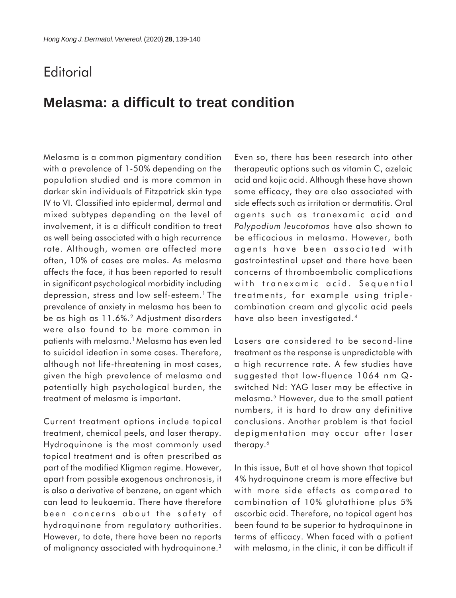## **Editorial**

## **Melasma: a difficult to treat condition**

Melasma is a common pigmentary condition with a prevalence of 1-50% depending on the population studied and is more common in darker skin individuals of Fitzpatrick skin type IV to VI. Classified into epidermal, dermal and mixed subtypes depending on the level of involvement, it is a difficult condition to treat as well being associated with a high recurrence rate. Although, women are affected more often, 10% of cases are males. As melasma affects the face, it has been reported to result in significant psychological morbidity including depression, stress and low self-esteem.<sup>1</sup> The prevalence of anxiety in melasma has been to be as high as 11.6%.2 Adjustment disorders were also found to be more common in patients with melasma.1 Melasma has even led to suicidal ideation in some cases. Therefore, although not life-threatening in most cases, given the high prevalence of melasma and potentially high psychological burden, the treatment of melasma is important.

Current treatment options include topical treatment, chemical peels, and laser therapy. Hydroquinone is the most commonly used topical treatment and is often prescribed as part of the modified Kligman regime. However, apart from possible exogenous onchronosis, it is also a derivative of benzene, an agent which can lead to leukaemia. There have therefore been concerns about the safety of hydroquinone from regulatory authorities. However, to date, there have been no reports of malignancy associated with hydroquinone.<sup>3</sup>

Even so, there has been research into other therapeutic options such as vitamin C, azelaic acid and kojic acid. Although these have shown some efficacy, they are also associated with side effects such as irritation or dermatitis. Oral agents such as tranexamic acid and *Polypodium leucotomos* have also shown to be efficacious in melasma. However, both agents have been associated with gastrointestinal upset and there have been concerns of thromboembolic complications with tranexamic acid. Sequential treatments, for example using triplecombination cream and glycolic acid peels have also been investigated.4

Lasers are considered to be second-line treatment as the response is unpredictable with a high recurrence rate. A few studies have suggested that low-fluence 1064 nm Qswitched Nd: YAG laser may be effective in melasma.5 However, due to the small patient numbers, it is hard to draw any definitive conclusions. Another problem is that facial depigmentation may occur after laser therapy.<sup>6</sup>

In this issue, Butt et al have shown that topical 4% hydroquinone cream is more effective but with more side effects as compared to combination of 10% glutathione plus 5% ascorbic acid. Therefore, no topical agent has been found to be superior to hydroquinone in terms of efficacy. When faced with a patient with melasma, in the clinic, it can be difficult if